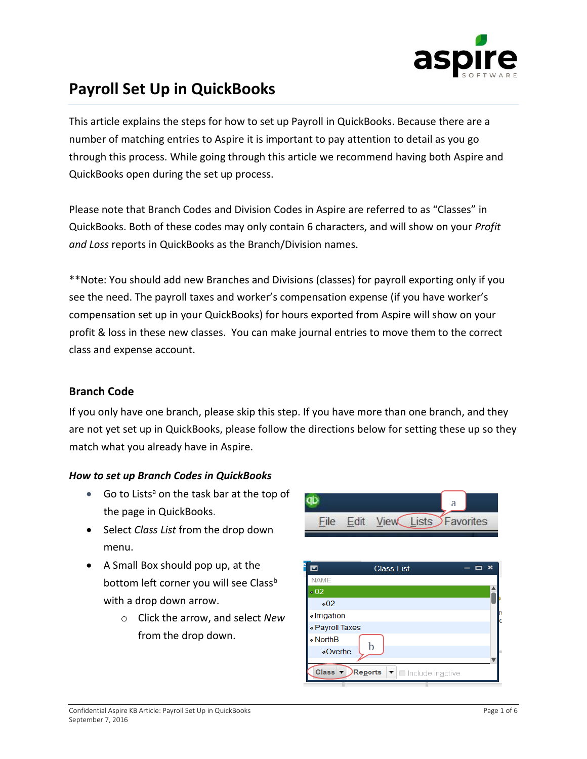

# **Payroll Set Up in QuickBooks**

This article explains the steps for how to set up Payroll in QuickBooks. Because there are a number of matching entries to Aspire it is important to pay attention to detail as you go through this process. While going through this article we recommend having both Aspire and QuickBooks open during the set up process.

Please note that Branch Codes and Division Codes in Aspire are referred to as "Classes" in QuickBooks. Both of these codes may only contain 6 characters, and will show on your *Profit and Loss* reports in QuickBooks as the Branch/Division names.

\*\*Note: You should add new Branches and Divisions (classes) for payroll exporting only if you see the need. The payroll taxes and worker's compensation expense (if you have worker's compensation set up in your QuickBooks) for hours exported from Aspire will show on your profit & loss in these new classes. You can make journal entries to move them to the correct class and expense account.

#### **Branch Code**

If you only have one branch, please skip this step. If you have more than one branch, and they are not yet set up in QuickBooks, please follow the directions below for setting these up so they match what you already have in Aspire.

#### *How to set up Branch Codes in QuickBooks*

- Go to Lists<sup>a</sup> on the task bar at the top of the page in QuickBooks.
- Select *Class List* from the drop down menu.
- A Small Box should pop up, at the bottom left corner you will see Class<sup>b</sup> with a drop down arrow.
	- o Click the arrow, and select *New* from the drop down.

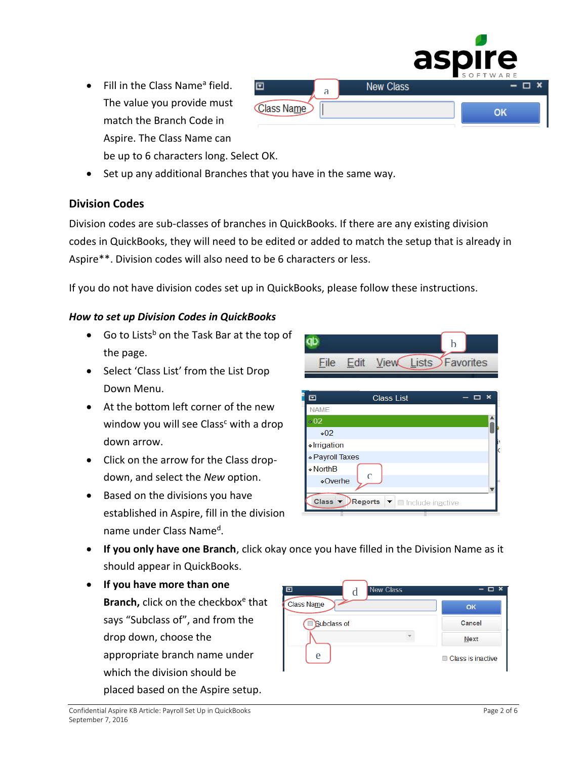- Fill in the Class Name<sup>a</sup> field. The value you provide must match the Branch Code in Aspire. The Class Name can
- be up to 6 characters long. Select OK. • Set up any additional Branches that you have in the same way.

回

Class Name

## **Division Codes**

Division codes are sub-classes of branches in QuickBooks. If there are any existing division codes in QuickBooks, they will need to be edited or added to match the setup that is already in Aspire\*\*. Division codes will also need to be 6 characters or less.

If you do not have division codes set up in QuickBooks, please follow these instructions.

#### *How to set up Division Codes in QuickBooks*

- Go to Lists<sup>b</sup> on the Task Bar at the top of the page.
- Select 'Class List' from the List Drop Down Menu.
- At the bottom left corner of the new window you will see Class<sup>c</sup> with a drop down arrow.
- Click on the arrow for the Class dropdown, and select the *New* option.
- Based on the divisions you have established in Aspire, fill in the division name under Class Name<sup>d</sup>.



- **If you only have one Branch**, click okay once you have filled in the Division Name as it should appear in QuickBooks.
- **If you have more than one**  Branch, click on the checkbox<sup>e</sup> that says "Subclass of", and from the drop down, choose the appropriate branch name under which the division should be placed based on the Aspire setup.

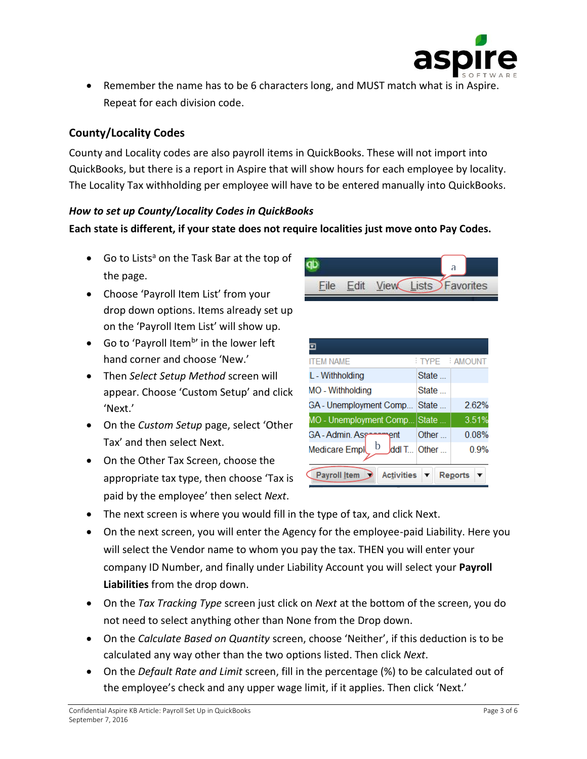

• Remember the name has to be 6 characters long, and MUST match what is in Aspire. Repeat for each division code.

# **County/Locality Codes**

County and Locality codes are also payroll items in QuickBooks. These will not import into QuickBooks, but there is a report in Aspire that will show hours for each employee by locality. The Locality Tax withholding per employee will have to be entered manually into QuickBooks.

#### *How to set up County/Locality Codes in QuickBooks*

## **Each state is different, if your state does not require localities just move onto Pay Codes.**

- Go to Lists<sup>a</sup> on the Task Bar at the top of the page.
- Choose 'Payroll Item List' from your drop down options. Items already set up on the 'Payroll Item List' will show up.
- Go to 'Payroll Item<sup>b</sup>' in the lower left hand corner and choose 'New.'
- Then *Select Setup Method* screen will appear. Choose 'Custom Setup' and click 'Next.'
- On the *Custom Setup* page, select 'Other Tax' and then select Next.
- On the Other Tax Screen, choose the appropriate tax type, then choose 'Tax is paid by the employee' then select *Next*.



| <b>ITEM NAME</b>                         |       | TYPE : AMOUNT  |
|------------------------------------------|-------|----------------|
| L - Withholding                          | State |                |
| MO - Withholding                         | State |                |
| GA - Unemployment Comp                   | State | 262%           |
| MO - Unemployment Comp                   | State | 3.51%          |
| GA - Admin. Ass<br>ent                   | Other | 0.08%          |
| h<br>Medicare Empl<br>ddl T              | Other | 0.9%           |
| <b>Activities</b><br><b>Payroll Item</b> |       | <b>Reports</b> |

- The next screen is where you would fill in the type of tax, and click Next.
- On the next screen, you will enter the Agency for the employee-paid Liability. Here you will select the Vendor name to whom you pay the tax. THEN you will enter your company ID Number, and finally under Liability Account you will select your **Payroll Liabilities** from the drop down.
- On the *Tax Tracking Type* screen just click on *Next* at the bottom of the screen, you do not need to select anything other than None from the Drop down.
- On the *Calculate Based on Quantity* screen, choose 'Neither', if this deduction is to be calculated any way other than the two options listed. Then click *Next*.
- On the *Default Rate and Limit* screen, fill in the percentage (%) to be calculated out of the employee's check and any upper wage limit, if it applies. Then click 'Next.'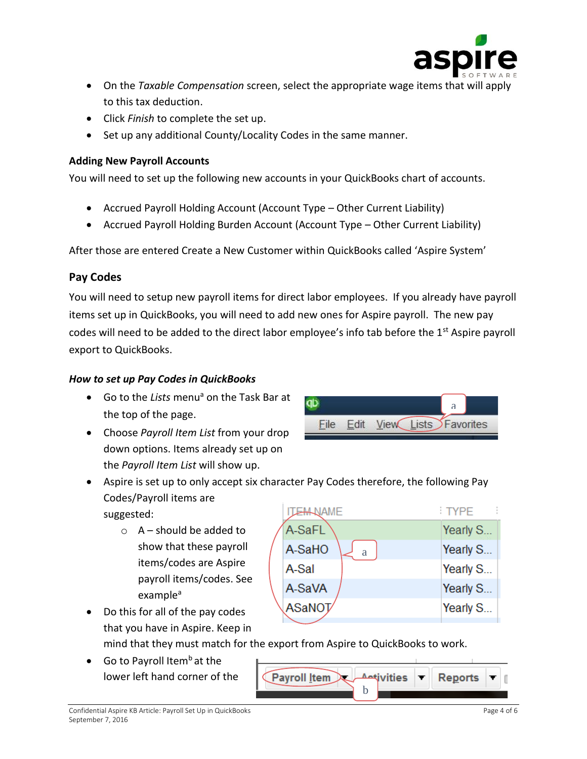

- On the *Taxable Compensation* screen, select the appropriate wage items that will apply to this tax deduction.
- Click *Finish* to complete the set up.
- Set up any additional County/Locality Codes in the same manner.

#### **Adding New Payroll Accounts**

You will need to set up the following new accounts in your QuickBooks chart of accounts.

- Accrued Payroll Holding Account (Account Type Other Current Liability)
- Accrued Payroll Holding Burden Account (Account Type Other Current Liability)

After those are entered Create a New Customer within QuickBooks called 'Aspire System'

## **Pay Codes**

You will need to setup new payroll items for direct labor employees. If you already have payroll items set up in QuickBooks, you will need to add new ones for Aspire payroll. The new pay codes will need to be added to the direct labor employee's info tab before the 1st Aspire payroll export to QuickBooks.

#### *How to set up Pay Codes in QuickBooks*

- Go to the *Lists* menu<sup>a</sup> on the Task Bar at the top of the page.
- Choose *Payroll Item List* from your drop down options. Items already set up on the *Payroll Item List* will show up.



• Aspire is set up to only accept six character Pay Codes therefore, the following Pay Codes/Payroll items are

suggested:

 $\circ$  A – should be added to show that these payroll items/codes are Aspire payroll items/codes. See example<sup>a</sup>



- that you have in Aspire. Keep in mind that they must match for the export from Aspire to QuickBooks to work.
- Go to Payroll Item<sup>b</sup> at the lower left hand corner of the

• Do this for all of the pay codes

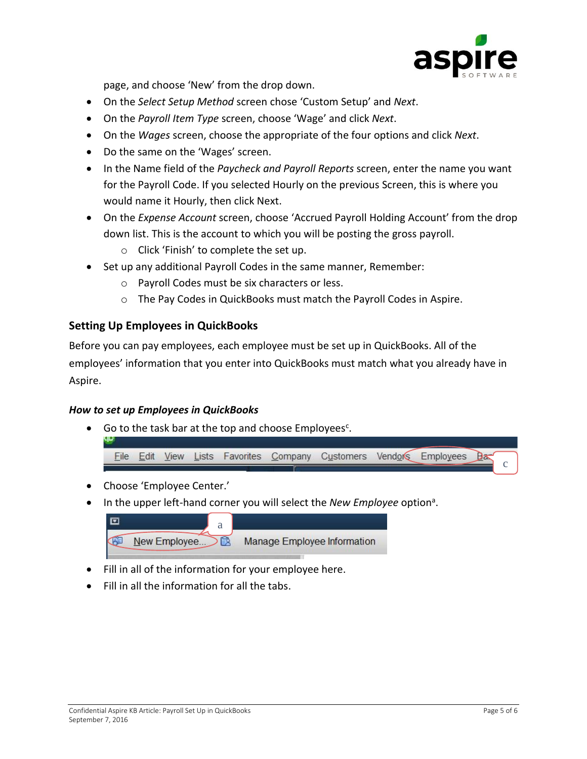

page, and choose 'New' from the drop down.

- On the *Select Setup Method* screen chose 'Custom Setup' and *Next*.
- On the *Payroll Item Type* screen, choose 'Wage' and click *Next*.
- On the *Wages* screen, choose the appropriate of the four options and click *Next*.
- Do the same on the 'Wages' screen.
- In the Name field of the *Paycheck and Payroll Reports* screen, enter the name you want for the Payroll Code. If you selected Hourly on the previous Screen, this is where you would name it Hourly, then click Next.
- On the *Expense Account* screen, choose 'Accrued Payroll Holding Account' from the drop down list. This is the account to which you will be posting the gross payroll.
	- o Click 'Finish' to complete the set up.
- Set up any additional Payroll Codes in the same manner, Remember:
	- o Payroll Codes must be six characters or less.
	- o The Pay Codes in QuickBooks must match the Payroll Codes in Aspire.

## **Setting Up Employees in QuickBooks**

Before you can pay employees, each employee must be set up in QuickBooks. All of the employees' information that you enter into QuickBooks must match what you already have in Aspire.

#### *How to set up Employees in QuickBooks*

• Go to the task bar at the top and choose Employees<sup>c</sup>.



- Choose 'Employee Center.'
- In the upper left-hand corner you will select the *New Employee* option<sup>a</sup>.

| च<br>a        |                                    |
|---------------|------------------------------------|
| New Employee. | <b>Manage Employee Information</b> |

- Fill in all of the information for your employee here.
- Fill in all the information for all the tabs.